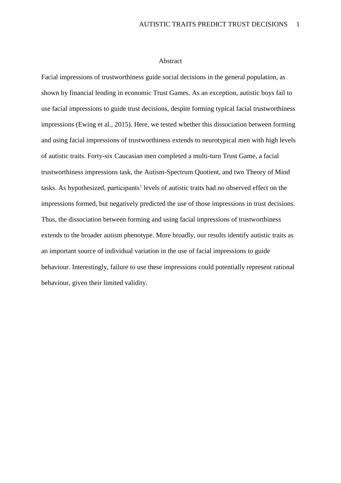#### Abstract

Facial impressions of trustworthiness guide social decisions in the general population, as shown by financial lending in economic Trust Games. As an exception, autistic boys fail to use facial impressions to guide trust decisions, despite forming typical facial trustworthiness impressions (Ewing et al., 2015). Here, we tested whether this dissociation between forming and using facial impressions of trustworthiness extends to neurotypical men with high levels of autistic traits. Forty-six Caucasian men completed a multi-turn Trust Game, a facial trustworthiness impressions task, the Autism-Spectrum Quotient, and two Theory of Mind tasks. As hypothesized, participants' levels of autistic traits had no observed effect on the impressions formed, but negatively predicted the use of those impressions in trust decisions. Thus, the dissociation between forming and using facial impressions of trustworthiness extends to the broader autism phenotype. More broadly, our results identify autistic traits as an important source of individual variation in the use of facial impressions to guide behaviour. Interestingly, failure to use these impressions could potentially represent rational behaviour, given their limited validity.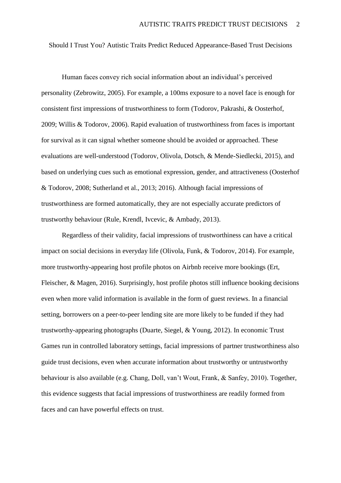Should I Trust You? Autistic Traits Predict Reduced Appearance-Based Trust Decisions

Human faces convey rich social information about an individual's perceived personality (Zebrowitz, 2005). For example, a 100ms exposure to a novel face is enough for consistent first impressions of trustworthiness to form (Todorov, Pakrashi, & Oosterhof, 2009; Willis & Todorov, 2006). Rapid evaluation of trustworthiness from faces is important for survival as it can signal whether someone should be avoided or approached. These evaluations are well-understood (Todorov, Olivola, Dotsch, & Mende-Siedlecki, 2015), and based on underlying cues such as emotional expression, gender, and attractiveness (Oosterhof & Todorov, 2008; Sutherland et al., 2013; 2016). Although facial impressions of trustworthiness are formed automatically, they are not especially accurate predictors of trustworthy behaviour (Rule, Krendl, Ivcevic, & Ambady, 2013).

Regardless of their validity, facial impressions of trustworthiness can have a critical impact on social decisions in everyday life (Olivola, Funk, & Todorov, 2014). For example, more trustworthy-appearing host profile photos on Airbnb receive more bookings (Ert, Fleischer, & Magen, 2016). Surprisingly, host profile photos still influence booking decisions even when more valid information is available in the form of guest reviews. In a financial setting, borrowers on a peer-to-peer lending site are more likely to be funded if they had trustworthy-appearing photographs (Duarte, Siegel, & Young, 2012). In economic Trust Games run in controlled laboratory settings, facial impressions of partner trustworthiness also guide trust decisions, even when accurate information about trustworthy or untrustworthy behaviour is also available (e.g. Chang, Doll, van't Wout, Frank, & Sanfey, 2010). Together, this evidence suggests that facial impressions of trustworthiness are readily formed from faces and can have powerful effects on trust.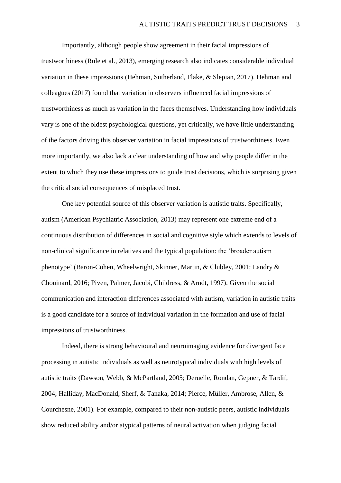Importantly, although people show agreement in their facial impressions of trustworthiness (Rule et al., 2013), emerging research also indicates considerable individual variation in these impressions (Hehman, Sutherland, Flake, & Slepian, 2017). Hehman and colleagues (2017) found that variation in observers influenced facial impressions of trustworthiness as much as variation in the faces themselves. Understanding how individuals vary is one of the oldest psychological questions, yet critically, we have little understanding of the factors driving this observer variation in facial impressions of trustworthiness. Even more importantly, we also lack a clear understanding of how and why people differ in the extent to which they use these impressions to guide trust decisions, which is surprising given the critical social consequences of misplaced trust.

One key potential source of this observer variation is autistic traits. Specifically, autism (American Psychiatric Association, 2013) may represent one extreme end of a continuous distribution of differences in social and cognitive style which extends to levels of non-clinical significance in relatives and the typical population: the 'broader autism phenotype' (Baron-Cohen, Wheelwright, Skinner, Martin, & Clubley, 2001; Landry & Chouinard, 2016; Piven, Palmer, Jacobi, Childress, & Arndt, 1997). Given the social communication and interaction differences associated with autism, variation in autistic traits is a good candidate for a source of individual variation in the formation and use of facial impressions of trustworthiness.

Indeed, there is strong behavioural and neuroimaging evidence for divergent face processing in autistic individuals as well as neurotypical individuals with high levels of autistic traits (Dawson, Webb, & McPartland, 2005; Deruelle, Rondan, Gepner, & Tardif, 2004; Halliday, MacDonald, Sherf, & Tanaka, 2014; Pierce, Müller, Ambrose, Allen, & Courchesne, 2001). For example, compared to their non-autistic peers, autistic individuals show reduced ability and/or atypical patterns of neural activation when judging facial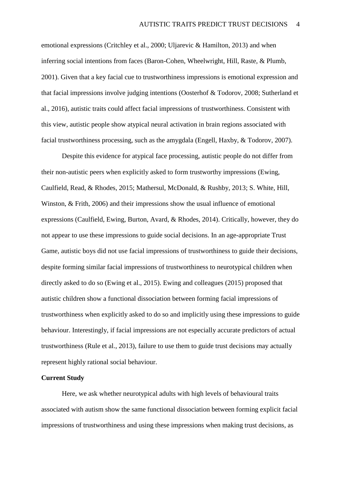emotional expressions (Critchley et al., 2000; Uljarevic & Hamilton, 2013) and when inferring social intentions from faces (Baron-Cohen, Wheelwright, Hill, Raste, & Plumb, 2001). Given that a key facial cue to trustworthiness impressions is emotional expression and that facial impressions involve judging intentions (Oosterhof & Todorov, 2008; Sutherland et al., 2016), autistic traits could affect facial impressions of trustworthiness. Consistent with this view, autistic people show atypical neural activation in brain regions associated with facial trustworthiness processing, such as the amygdala (Engell, Haxby, & Todorov, 2007).

Despite this evidence for atypical face processing, autistic people do not differ from their non-autistic peers when explicitly asked to form trustworthy impressions (Ewing, Caulfield, Read, & Rhodes, 2015; Mathersul, McDonald, & Rushby, 2013; S. White, Hill, Winston, & Frith, 2006) and their impressions show the usual influence of emotional expressions (Caulfield, Ewing, Burton, Avard, & Rhodes, 2014). Critically, however, they do not appear to use these impressions to guide social decisions. In an age-appropriate Trust Game, autistic boys did not use facial impressions of trustworthiness to guide their decisions, despite forming similar facial impressions of trustworthiness to neurotypical children when directly asked to do so (Ewing et al., 2015). Ewing and colleagues (2015) proposed that autistic children show a functional dissociation between forming facial impressions of trustworthiness when explicitly asked to do so and implicitly using these impressions to guide behaviour. Interestingly, if facial impressions are not especially accurate predictors of actual trustworthiness (Rule et al., 2013), failure to use them to guide trust decisions may actually represent highly rational social behaviour.

#### **Current Study**

Here, we ask whether neurotypical adults with high levels of behavioural traits associated with autism show the same functional dissociation between forming explicit facial impressions of trustworthiness and using these impressions when making trust decisions, as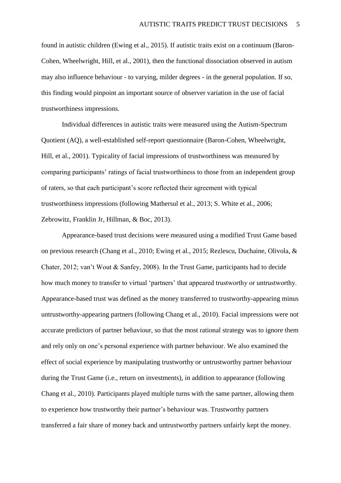found in autistic children (Ewing et al., 2015). If autistic traits exist on a continuum (Baron-Cohen, Wheelwright, Hill, et al., 2001), then the functional dissociation observed in autism may also influence behaviour - to varying, milder degrees - in the general population. If so, this finding would pinpoint an important source of observer variation in the use of facial trustworthiness impressions.

Individual differences in autistic traits were measured using the Autism-Spectrum Quotient (AQ), a well-established self-report questionnaire (Baron-Cohen, Wheelwright, Hill, et al., 2001). Typicality of facial impressions of trustworthiness was measured by comparing participants' ratings of facial trustworthiness to those from an independent group of raters, so that each participant's score reflected their agreement with typical trustworthiness impressions (following Mathersul et al., 2013; S. White et al., 2006; Zebrowitz, Franklin Jr, Hillman, & Boc, 2013).

Appearance-based trust decisions were measured using a modified Trust Game based on previous research (Chang et al., 2010; Ewing et al., 2015; Rezlescu, Duchaine, Olivola, & Chater, 2012; van't Wout & Sanfey, 2008). In the Trust Game, participants had to decide how much money to transfer to virtual 'partners' that appeared trustworthy or untrustworthy. Appearance-based trust was defined as the money transferred to trustworthy-appearing minus untrustworthy-appearing partners (following Chang et al., 2010). Facial impressions were not accurate predictors of partner behaviour, so that the most rational strategy was to ignore them and rely only on one's personal experience with partner behaviour. We also examined the effect of social experience by manipulating trustworthy or untrustworthy partner behaviour during the Trust Game (i.e., return on investments), in addition to appearance (following Chang et al., 2010). Participants played multiple turns with the same partner, allowing them to experience how trustworthy their partner's behaviour was. Trustworthy partners transferred a fair share of money back and untrustworthy partners unfairly kept the money.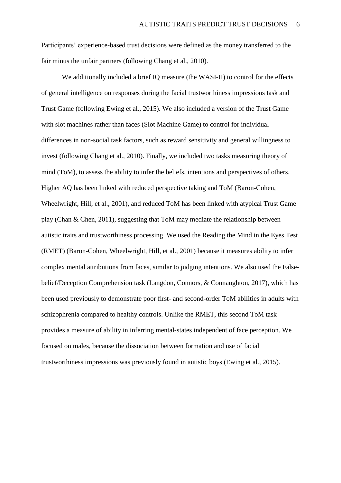Participants' experience-based trust decisions were defined as the money transferred to the fair minus the unfair partners (following Chang et al., 2010).

We additionally included a brief IQ measure (the WASI-II) to control for the effects of general intelligence on responses during the facial trustworthiness impressions task and Trust Game (following Ewing et al., 2015). We also included a version of the Trust Game with slot machines rather than faces (Slot Machine Game) to control for individual differences in non-social task factors, such as reward sensitivity and general willingness to invest (following Chang et al., 2010). Finally, we included two tasks measuring theory of mind (ToM), to assess the ability to infer the beliefs, intentions and perspectives of others. Higher AQ has been linked with reduced perspective taking and ToM (Baron-Cohen, Wheelwright, Hill, et al., 2001), and reduced ToM has been linked with atypical Trust Game play (Chan & Chen, 2011), suggesting that ToM may mediate the relationship between autistic traits and trustworthiness processing. We used the Reading the Mind in the Eyes Test (RMET) (Baron-Cohen, Wheelwright, Hill, et al., 2001) because it measures ability to infer complex mental attributions from faces, similar to judging intentions. We also used the Falsebelief/Deception Comprehension task (Langdon, Connors, & Connaughton, 2017), which has been used previously to demonstrate poor first- and second-order ToM abilities in adults with schizophrenia compared to healthy controls. Unlike the RMET, this second ToM task provides a measure of ability in inferring mental-states independent of face perception. We focused on males, because the dissociation between formation and use of facial trustworthiness impressions was previously found in autistic boys (Ewing et al., 2015).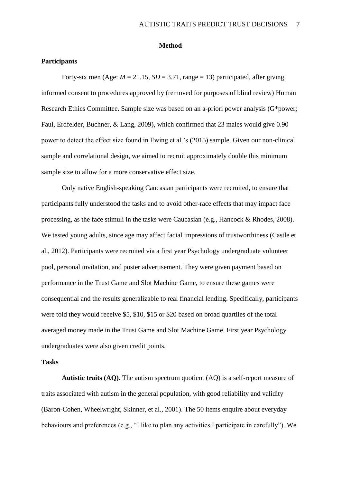#### **Method**

## **Participants**

Forty-six men (Age:  $M = 21.15$ ,  $SD = 3.71$ , range = 13) participated, after giving informed consent to procedures approved by (removed for purposes of blind review) Human Research Ethics Committee. Sample size was based on an a-priori power analysis (G\*power; Faul, Erdfelder, Buchner, & Lang, 2009), which confirmed that 23 males would give 0.90 power to detect the effect size found in Ewing et al.'s (2015) sample. Given our non-clinical sample and correlational design, we aimed to recruit approximately double this minimum sample size to allow for a more conservative effect size.

Only native English-speaking Caucasian participants were recruited, to ensure that participants fully understood the tasks and to avoid other-race effects that may impact face processing, as the face stimuli in the tasks were Caucasian (e.g., Hancock & Rhodes, 2008). We tested young adults, since age may affect facial impressions of trustworthiness (Castle et al., 2012). Participants were recruited via a first year Psychology undergraduate volunteer pool, personal invitation, and poster advertisement. They were given payment based on performance in the Trust Game and Slot Machine Game, to ensure these games were consequential and the results generalizable to real financial lending. Specifically, participants were told they would receive \$5, \$10, \$15 or \$20 based on broad quartiles of the total averaged money made in the Trust Game and Slot Machine Game. First year Psychology undergraduates were also given credit points.

# **Tasks**

**Autistic traits (AQ).** The autism spectrum quotient (AQ) is a self-report measure of traits associated with autism in the general population, with good reliability and validity (Baron-Cohen, Wheelwright, Skinner, et al., 2001). The 50 items enquire about everyday behaviours and preferences (e.g., "I like to plan any activities I participate in carefully"). We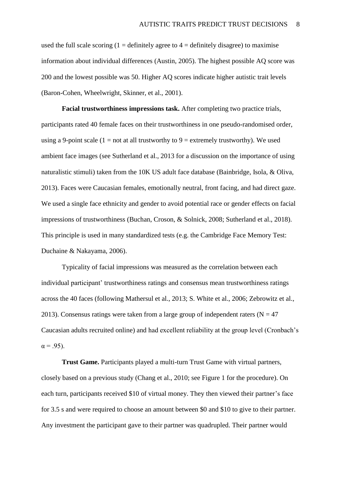used the full scale scoring  $(1 =$  definitely agree to  $4 =$  definitely disagree) to maximise information about individual differences (Austin, 2005). The highest possible AQ score was 200 and the lowest possible was 50. Higher AQ scores indicate higher autistic trait levels (Baron-Cohen, Wheelwright, Skinner, et al., 2001).

**Facial trustworthiness impressions task.** After completing two practice trials, participants rated 40 female faces on their trustworthiness in one pseudo-randomised order, using a 9-point scale (1 = not at all trustworthy to 9 = extremely trustworthy). We used ambient face images (see Sutherland et al., 2013 for a discussion on the importance of using naturalistic stimuli) taken from the 10K US adult face database (Bainbridge, Isola, & Oliva, 2013). Faces were Caucasian females, emotionally neutral, front facing, and had direct gaze. We used a single face ethnicity and gender to avoid potential race or gender effects on facial impressions of trustworthiness (Buchan, Croson, & Solnick, 2008; Sutherland et al., 2018). This principle is used in many standardized tests (e.g. the Cambridge Face Memory Test: Duchaine & Nakayama, 2006).

Typicality of facial impressions was measured as the correlation between each individual participant' trustworthiness ratings and consensus mean trustworthiness ratings across the 40 faces (following Mathersul et al., 2013; S. White et al., 2006; Zebrowitz et al., 2013). Consensus ratings were taken from a large group of independent raters ( $N = 47$ ) Caucasian adults recruited online) and had excellent reliability at the group level (Cronbach's  $\alpha = .95$ ).

**Trust Game.** Participants played a multi-turn Trust Game with virtual partners, closely based on a previous study (Chang et al., 2010; see Figure 1 for the procedure). On each turn, participants received \$10 of virtual money. They then viewed their partner's face for 3.5 s and were required to choose an amount between \$0 and \$10 to give to their partner. Any investment the participant gave to their partner was quadrupled. Their partner would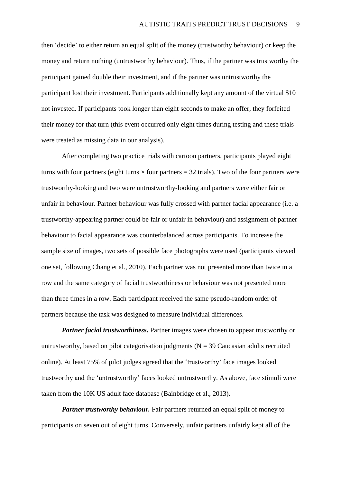then 'decide' to either return an equal split of the money (trustworthy behaviour) or keep the money and return nothing (untrustworthy behaviour). Thus, if the partner was trustworthy the participant gained double their investment, and if the partner was untrustworthy the participant lost their investment. Participants additionally kept any amount of the virtual \$10 not invested. If participants took longer than eight seconds to make an offer, they forfeited their money for that turn (this event occurred only eight times during testing and these trials were treated as missing data in our analysis).

After completing two practice trials with cartoon partners, participants played eight turns with four partners (eight turns  $\times$  four partners = 32 trials). Two of the four partners were trustworthy-looking and two were untrustworthy-looking and partners were either fair or unfair in behaviour. Partner behaviour was fully crossed with partner facial appearance (i.e. a trustworthy-appearing partner could be fair or unfair in behaviour) and assignment of partner behaviour to facial appearance was counterbalanced across participants. To increase the sample size of images, two sets of possible face photographs were used (participants viewed one set, following Chang et al., 2010). Each partner was not presented more than twice in a row and the same category of facial trustworthiness or behaviour was not presented more than three times in a row. Each participant received the same pseudo-random order of partners because the task was designed to measure individual differences.

*Partner facial trustworthiness.* Partner images were chosen to appear trustworthy or untrustworthy, based on pilot categorisation judgments ( $N = 39$  Caucasian adults recruited online). At least 75% of pilot judges agreed that the 'trustworthy' face images looked trustworthy and the 'untrustworthy' faces looked untrustworthy. As above, face stimuli were taken from the 10K US adult face database (Bainbridge et al., 2013).

*Partner trustworthy behaviour.* Fair partners returned an equal split of money to participants on seven out of eight turns. Conversely, unfair partners unfairly kept all of the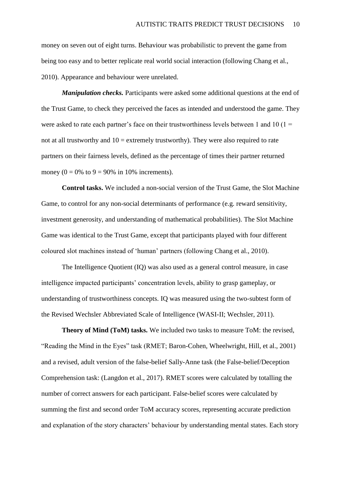money on seven out of eight turns. Behaviour was probabilistic to prevent the game from being too easy and to better replicate real world social interaction (following Chang et al., 2010). Appearance and behaviour were unrelated.

*Manipulation checks.* Participants were asked some additional questions at the end of the Trust Game, to check they perceived the faces as intended and understood the game. They were asked to rate each partner's face on their trustworthiness levels between 1 and 10 ( $1 =$ not at all trustworthy and  $10 =$  extremely trustworthy). They were also required to rate partners on their fairness levels, defined as the percentage of times their partner returned money ( $0 = 0\%$  to  $9 = 90\%$  in 10% increments).

**Control tasks.** We included a non-social version of the Trust Game, the Slot Machine Game, to control for any non-social determinants of performance (e.g. reward sensitivity, investment generosity, and understanding of mathematical probabilities). The Slot Machine Game was identical to the Trust Game, except that participants played with four different coloured slot machines instead of 'human' partners (following Chang et al., 2010).

The Intelligence Quotient (IQ) was also used as a general control measure, in case intelligence impacted participants' concentration levels, ability to grasp gameplay, or understanding of trustworthiness concepts. IQ was measured using the two-subtest form of the Revised Wechsler Abbreviated Scale of Intelligence (WASI-II; Wechsler, 2011).

**Theory of Mind (ToM) tasks.** We included two tasks to measure ToM: the revised, "Reading the Mind in the Eyes" task (RMET; Baron-Cohen, Wheelwright, Hill, et al., 2001) and a revised, adult version of the false-belief Sally-Anne task (the False-belief/Deception Comprehension task: (Langdon et al., 2017). RMET scores were calculated by totalling the number of correct answers for each participant. False-belief scores were calculated by summing the first and second order ToM accuracy scores, representing accurate prediction and explanation of the story characters' behaviour by understanding mental states. Each story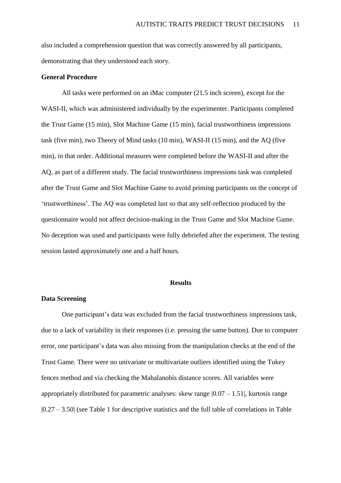also included a comprehension question that was correctly answered by all participants, demonstrating that they understood each story.

#### **General Procedure**

All tasks were performed on an iMac computer (21.5 inch screen), except for the WASI-II, which was administered individually by the experimenter. Participants completed the Trust Game (15 min), Slot Machine Game (15 min), facial trustworthiness impressions task (five min), two Theory of Mind tasks (10 min), WASI-II (15 min), and the AQ (five min), in that order. Additional measures were completed before the WASI-II and after the AQ, as part of a different study. The facial trustworthiness impressions task was completed after the Trust Game and Slot Machine Game to avoid priming participants on the concept of 'trustworthiness'. The AQ was completed last so that any self-reflection produced by the questionnaire would not affect decision-making in the Trust Game and Slot Machine Game. No deception was used and participants were fully debriefed after the experiment. The testing session lasted approximately one and a half hours.

#### **Results**

# **Data Screening**

One participant's data was excluded from the facial trustworthiness impressions task, due to a lack of variability in their responses (i.e. pressing the same button). Due to computer error, one participant's data was also missing from the manipulation checks at the end of the Trust Game. There were no univariate or multivariate outliers identified using the Tukey fences method and via checking the Mahalanobis distance scores. All variables were appropriately distributed for parametric analyses: skew range  $|0.07 - 1.51|$ , kurtosis range |0.27 – 3.50| (see Table 1 for descriptive statistics and the full table of correlations in Table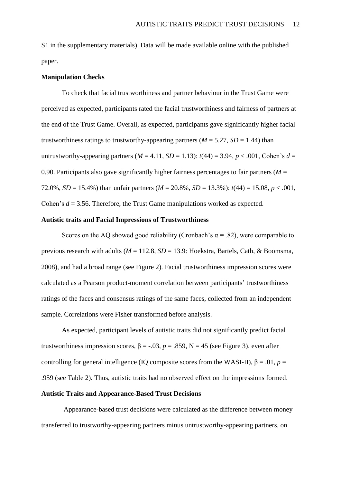S1 in the supplementary materials). Data will be made available online with the published paper.

#### **Manipulation Checks**

To check that facial trustworthiness and partner behaviour in the Trust Game were perceived as expected, participants rated the facial trustworthiness and fairness of partners at the end of the Trust Game. Overall, as expected, participants gave significantly higher facial trustworthiness ratings to trustworthy-appearing partners ( $M = 5.27$ ,  $SD = 1.44$ ) than untrustworthy-appearing partners ( $M = 4.11$ ,  $SD = 1.13$ ):  $t(44) = 3.94$ ,  $p < .001$ , Cohen's  $d =$ 0.90. Participants also gave significantly higher fairness percentages to fair partners ( $M =$ 72.0%, *SD* = 15.4%) than unfair partners ( $M = 20.8$ %, *SD* = 13.3%):  $t(44) = 15.08$ ,  $p < .001$ , Cohen's *d* = 3.56. Therefore, the Trust Game manipulations worked as expected.

## **Autistic traits and Facial Impressions of Trustworthiness**

Scores on the AQ showed good reliability (Cronbach's  $\alpha$  = .82), were comparable to previous research with adults (*M* = 112.8, *SD* = 13.9: Hoekstra, Bartels, Cath, & Boomsma, 2008), and had a broad range (see Figure 2). Facial trustworthiness impression scores were calculated as a Pearson product-moment correlation between participants' trustworthiness ratings of the faces and consensus ratings of the same faces, collected from an independent sample. Correlations were Fisher transformed before analysis.

As expected, participant levels of autistic traits did not significantly predict facial trustworthiness impression scores,  $β = -.03$ ,  $p = .859$ ,  $N = 45$  (see Figure 3), even after controlling for general intelligence (IQ composite scores from the WASI-II),  $\beta = .01$ ,  $p =$ .959 (see Table 2). Thus, autistic traits had no observed effect on the impressions formed.

# **Autistic Traits and Appearance-Based Trust Decisions**

Appearance-based trust decisions were calculated as the difference between money transferred to trustworthy-appearing partners minus untrustworthy-appearing partners, on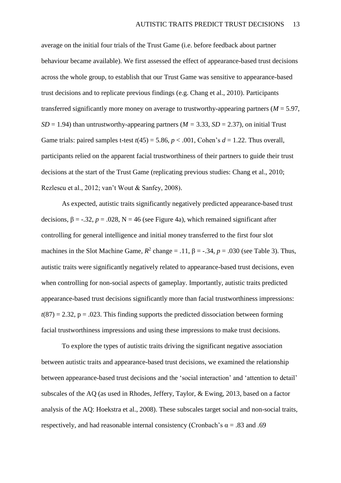average on the initial four trials of the Trust Game (i.e. before feedback about partner behaviour became available). We first assessed the effect of appearance-based trust decisions across the whole group, to establish that our Trust Game was sensitive to appearance-based trust decisions and to replicate previous findings (e.g. Chang et al., 2010). Participants transferred significantly more money on average to trustworthy-appearing partners ( $M = 5.97$ , *SD* = 1.94) than untrustworthy-appearing partners ( $M = 3.33$ , *SD* = 2.37), on initial Trust Game trials: paired samples t-test  $t(45) = 5.86$ ,  $p < .001$ , Cohen's  $d = 1.22$ . Thus overall, participants relied on the apparent facial trustworthiness of their partners to guide their trust decisions at the start of the Trust Game (replicating previous studies: Chang et al., 2010; Rezlescu et al., 2012; van't Wout & Sanfey, 2008).

As expected, autistic traits significantly negatively predicted appearance-based trust decisions,  $β = -.32$ ,  $p = .028$ ,  $N = 46$  (see Figure 4a), which remained significant after controlling for general intelligence and initial money transferred to the first four slot machines in the Slot Machine Game,  $R^2$  change = .11,  $\beta$  = -.34,  $p = .030$  (see Table 3). Thus, autistic traits were significantly negatively related to appearance-based trust decisions, even when controlling for non-social aspects of gameplay. Importantly, autistic traits predicted appearance-based trust decisions significantly more than facial trustworthiness impressions:  $t(87) = 2.32$ ,  $p = .023$ . This finding supports the predicted dissociation between forming facial trustworthiness impressions and using these impressions to make trust decisions.

To explore the types of autistic traits driving the significant negative association between autistic traits and appearance-based trust decisions, we examined the relationship between appearance-based trust decisions and the 'social interaction' and 'attention to detail' subscales of the AQ (as used in Rhodes, Jeffery, Taylor, & Ewing, 2013, based on a factor analysis of the AQ: Hoekstra et al., 2008). These subscales target social and non-social traits, respectively, and had reasonable internal consistency (Cronbach's  $\alpha = .83$  and .69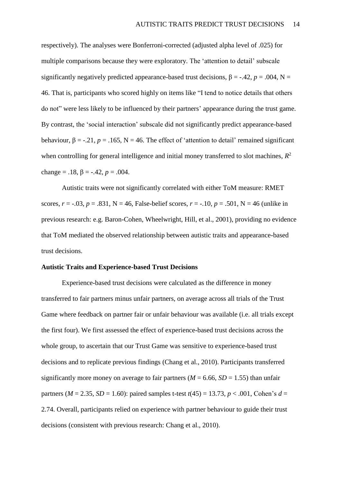respectively). The analyses were Bonferroni-corrected (adjusted alpha level of .025) for multiple comparisons because they were exploratory. The 'attention to detail' subscale significantly negatively predicted appearance-based trust decisions,  $\beta = -.42$ ,  $p = .004$ , N = 46. That is, participants who scored highly on items like "I tend to notice details that others do not" were less likely to be influenced by their partners' appearance during the trust game. By contrast, the 'social interaction' subscale did not significantly predict appearance-based behaviour,  $\beta = -0.21$ ,  $p = 0.165$ ,  $N = 46$ . The effect of 'attention to detail' remained significant when controlling for general intelligence and initial money transferred to slot machines, *R* 2 change =  $.18, \beta = -.42, p = .004$ .

Autistic traits were not significantly correlated with either ToM measure: RMET scores,  $r = -.03$ ,  $p = .831$ ,  $N = 46$ , False-belief scores,  $r = -.10$ ,  $p = .501$ ,  $N = 46$  (unlike in previous research: e.g. Baron-Cohen, Wheelwright, Hill, et al., 2001), providing no evidence that ToM mediated the observed relationship between autistic traits and appearance-based trust decisions.

## **Autistic Traits and Experience-based Trust Decisions**

Experience-based trust decisions were calculated as the difference in money transferred to fair partners minus unfair partners, on average across all trials of the Trust Game where feedback on partner fair or unfair behaviour was available (i.e. all trials except the first four). We first assessed the effect of experience-based trust decisions across the whole group, to ascertain that our Trust Game was sensitive to experience-based trust decisions and to replicate previous findings (Chang et al., 2010). Participants transferred significantly more money on average to fair partners ( $M = 6.66$ ,  $SD = 1.55$ ) than unfair partners ( $M = 2.35$ ,  $SD = 1.60$ ): paired samples t-test  $t(45) = 13.73$ ,  $p < .001$ , Cohen's  $d =$ 2.74. Overall, participants relied on experience with partner behaviour to guide their trust decisions (consistent with previous research: Chang et al., 2010).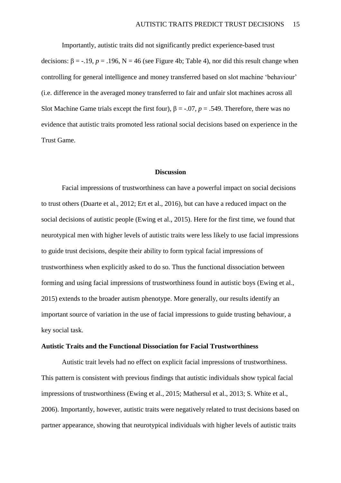Importantly, autistic traits did not significantly predict experience-based trust decisions:  $β = -.19$ ,  $p = .196$ ,  $N = 46$  (see Figure 4b; Table 4), nor did this result change when controlling for general intelligence and money transferred based on slot machine 'behaviour' (i.e. difference in the averaged money transferred to fair and unfair slot machines across all Slot Machine Game trials except the first four),  $\beta = -0.07$ ,  $p = 0.549$ . Therefore, there was no evidence that autistic traits promoted less rational social decisions based on experience in the Trust Game.

#### **Discussion**

Facial impressions of trustworthiness can have a powerful impact on social decisions to trust others (Duarte et al., 2012; Ert et al., 2016), but can have a reduced impact on the social decisions of autistic people (Ewing et al., 2015). Here for the first time, we found that neurotypical men with higher levels of autistic traits were less likely to use facial impressions to guide trust decisions, despite their ability to form typical facial impressions of trustworthiness when explicitly asked to do so. Thus the functional dissociation between forming and using facial impressions of trustworthiness found in autistic boys (Ewing et al., 2015) extends to the broader autism phenotype. More generally, our results identify an important source of variation in the use of facial impressions to guide trusting behaviour, a key social task.

#### **Autistic Traits and the Functional Dissociation for Facial Trustworthiness**

Autistic trait levels had no effect on explicit facial impressions of trustworthiness. This pattern is consistent with previous findings that autistic individuals show typical facial impressions of trustworthiness (Ewing et al., 2015; Mathersul et al., 2013; S. White et al., 2006). Importantly, however, autistic traits were negatively related to trust decisions based on partner appearance, showing that neurotypical individuals with higher levels of autistic traits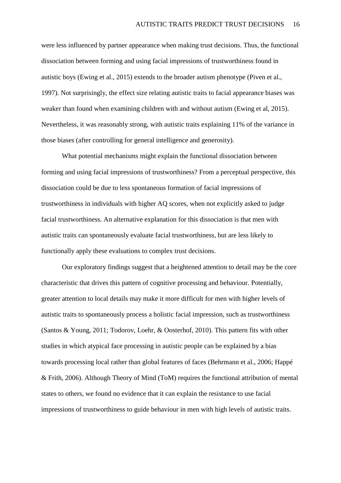were less influenced by partner appearance when making trust decisions. Thus, the functional dissociation between forming and using facial impressions of trustworthiness found in autistic boys (Ewing et al., 2015) extends to the broader autism phenotype (Piven et al., 1997). Not surprisingly, the effect size relating autistic traits to facial appearance biases was weaker than found when examining children with and without autism (Ewing et al, 2015). Nevertheless, it was reasonably strong, with autistic traits explaining 11% of the variance in those biases (after controlling for general intelligence and generosity).

What potential mechanisms might explain the functional dissociation between forming and using facial impressions of trustworthiness? From a perceptual perspective, this dissociation could be due to less spontaneous formation of facial impressions of trustworthiness in individuals with higher AQ scores, when not explicitly asked to judge facial trustworthiness. An alternative explanation for this dissociation is that men with autistic traits can spontaneously evaluate facial trustworthiness, but are less likely to functionally apply these evaluations to complex trust decisions.

Our exploratory findings suggest that a heightened attention to detail may be the core characteristic that drives this pattern of cognitive processing and behaviour. Potentially, greater attention to local details may make it more difficult for men with higher levels of autistic traits to spontaneously process a holistic facial impression, such as trustworthiness (Santos & Young, 2011; Todorov, Loehr, & Oosterhof, 2010). This pattern fits with other studies in which atypical face processing in autistic people can be explained by a bias towards processing local rather than global features of faces (Behrmann et al., 2006; Happé & Frith, 2006). Although Theory of Mind (ToM) requires the functional attribution of mental states to others, we found no evidence that it can explain the resistance to use facial impressions of trustworthiness to guide behaviour in men with high levels of autistic traits.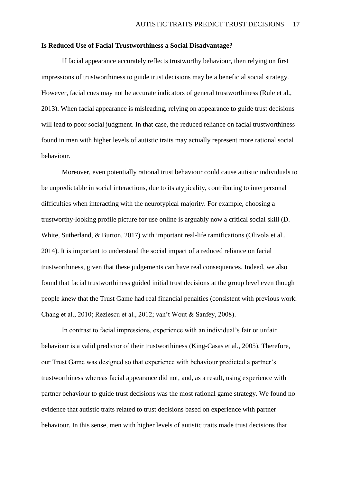#### **Is Reduced Use of Facial Trustworthiness a Social Disadvantage?**

If facial appearance accurately reflects trustworthy behaviour, then relying on first impressions of trustworthiness to guide trust decisions may be a beneficial social strategy. However, facial cues may not be accurate indicators of general trustworthiness (Rule et al., 2013). When facial appearance is misleading, relying on appearance to guide trust decisions will lead to poor social judgment. In that case, the reduced reliance on facial trustworthiness found in men with higher levels of autistic traits may actually represent more rational social behaviour.

Moreover, even potentially rational trust behaviour could cause autistic individuals to be unpredictable in social interactions, due to its atypicality, contributing to interpersonal difficulties when interacting with the neurotypical majority. For example, choosing a trustworthy-looking profile picture for use online is arguably now a critical social skill (D. White, Sutherland, & Burton, 2017) with important real-life ramifications (Olivola et al., 2014). It is important to understand the social impact of a reduced reliance on facial trustworthiness, given that these judgements can have real consequences. Indeed, we also found that facial trustworthiness guided initial trust decisions at the group level even though people knew that the Trust Game had real financial penalties (consistent with previous work: Chang et al., 2010; Rezlescu et al., 2012; van't Wout & Sanfey, 2008).

In contrast to facial impressions, experience with an individual's fair or unfair behaviour is a valid predictor of their trustworthiness (King-Casas et al., 2005). Therefore, our Trust Game was designed so that experience with behaviour predicted a partner's trustworthiness whereas facial appearance did not, and, as a result, using experience with partner behaviour to guide trust decisions was the most rational game strategy. We found no evidence that autistic traits related to trust decisions based on experience with partner behaviour. In this sense, men with higher levels of autistic traits made trust decisions that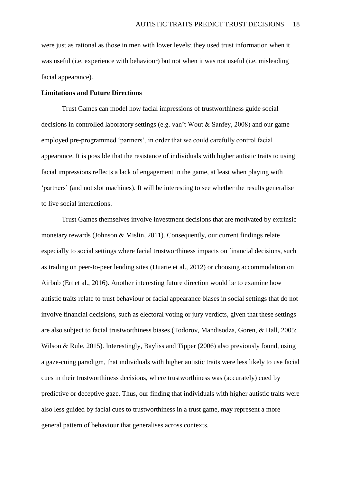were just as rational as those in men with lower levels; they used trust information when it was useful (i.e. experience with behaviour) but not when it was not useful (i.e. misleading facial appearance).

### **Limitations and Future Directions**

Trust Games can model how facial impressions of trustworthiness guide social decisions in controlled laboratory settings (e.g. van't Wout & Sanfey, 2008) and our game employed pre-programmed 'partners', in order that we could carefully control facial appearance. It is possible that the resistance of individuals with higher autistic traits to using facial impressions reflects a lack of engagement in the game, at least when playing with 'partners' (and not slot machines). It will be interesting to see whether the results generalise to live social interactions.

Trust Games themselves involve investment decisions that are motivated by extrinsic monetary rewards (Johnson & Mislin, 2011). Consequently, our current findings relate especially to social settings where facial trustworthiness impacts on financial decisions, such as trading on peer-to-peer lending sites (Duarte et al., 2012) or choosing accommodation on Airbnb (Ert et al., 2016). Another interesting future direction would be to examine how autistic traits relate to trust behaviour or facial appearance biases in social settings that do not involve financial decisions, such as electoral voting or jury verdicts, given that these settings are also subject to facial trustworthiness biases (Todorov, Mandisodza, Goren, & Hall, 2005; Wilson & Rule, 2015). Interestingly, Bayliss and Tipper (2006) also previously found, using a gaze-cuing paradigm, that individuals with higher autistic traits were less likely to use facial cues in their trustworthiness decisions, where trustworthiness was (accurately) cued by predictive or deceptive gaze. Thus, our finding that individuals with higher autistic traits were also less guided by facial cues to trustworthiness in a trust game, may represent a more general pattern of behaviour that generalises across contexts.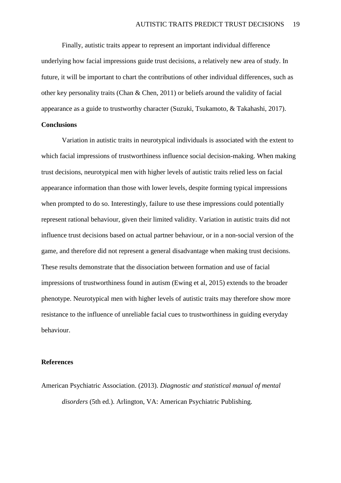Finally, autistic traits appear to represent an important individual difference underlying how facial impressions guide trust decisions, a relatively new area of study. In future, it will be important to chart the contributions of other individual differences, such as other key personality traits (Chan & Chen, 2011) or beliefs around the validity of facial appearance as a guide to trustworthy character (Suzuki, Tsukamoto, & Takahashi, 2017).

## **Conclusions**

Variation in autistic traits in neurotypical individuals is associated with the extent to which facial impressions of trustworthiness influence social decision-making. When making trust decisions, neurotypical men with higher levels of autistic traits relied less on facial appearance information than those with lower levels, despite forming typical impressions when prompted to do so. Interestingly, failure to use these impressions could potentially represent rational behaviour, given their limited validity. Variation in autistic traits did not influence trust decisions based on actual partner behaviour, or in a non-social version of the game, and therefore did not represent a general disadvantage when making trust decisions. These results demonstrate that the dissociation between formation and use of facial impressions of trustworthiness found in autism (Ewing et al, 2015) extends to the broader phenotype. Neurotypical men with higher levels of autistic traits may therefore show more resistance to the influence of unreliable facial cues to trustworthiness in guiding everyday behaviour.

#### **References**

American Psychiatric Association. (2013). *Diagnostic and statistical manual of mental disorders* (5th ed.). Arlington, VA: American Psychiatric Publishing.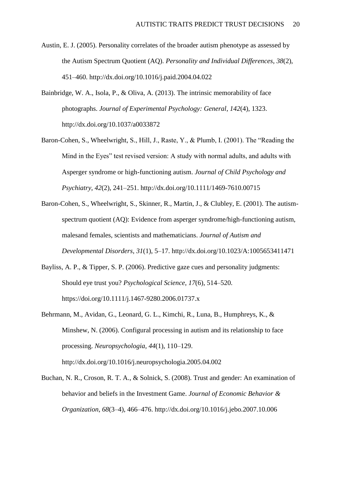- Austin, E. J. (2005). Personality correlates of the broader autism phenotype as assessed by the Autism Spectrum Quotient (AQ). *Personality and Individual Differences*, *38*(2), 451–460. http://dx.doi.org/10.1016/j.paid.2004.04.022
- Bainbridge, W. A., Isola, P., & Oliva, A. (2013). The intrinsic memorability of face photographs. *Journal of Experimental Psychology: General*, *142*(4), 1323. http://dx.doi.org/10.1037/a0033872
- Baron-Cohen, S., Wheelwright, S., Hill, J., Raste, Y., & Plumb, I. (2001). The "Reading the Mind in the Eyes" test revised version: A study with normal adults, and adults with Asperger syndrome or high-functioning autism. *Journal of Child Psychology and Psychiatry*, *42*(2), 241–251. http://dx.doi.org/10.1111/1469-7610.00715
- Baron-Cohen, S., Wheelwright, S., Skinner, R., Martin, J., & Clubley, E. (2001). The autismspectrum quotient (AQ): Evidence from asperger syndrome/high-functioning autism, malesand females, scientists and mathematicians. *Journal of Autism and Developmental Disorders*, *31*(1), 5–17. http://dx.doi.org/10.1023/A:1005653411471
- Bayliss, A. P., & Tipper, S. P. (2006). Predictive gaze cues and personality judgments: Should eye trust you? *Psychological Science*, *17*(6), 514–520. https://doi.org/10.1111/j.1467-9280.2006.01737.x
- Behrmann, M., Avidan, G., Leonard, G. L., Kimchi, R., Luna, B., Humphreys, K., & Minshew, N. (2006). Configural processing in autism and its relationship to face processing. *Neuropsychologia*, *44*(1), 110–129. http://dx.doi.org/10.1016/j.neuropsychologia.2005.04.002
- Buchan, N. R., Croson, R. T. A., & Solnick, S. (2008). Trust and gender: An examination of behavior and beliefs in the Investment Game. *Journal of Economic Behavior & Organization*, *68*(3–4), 466–476. http://dx.doi.org/10.1016/j.jebo.2007.10.006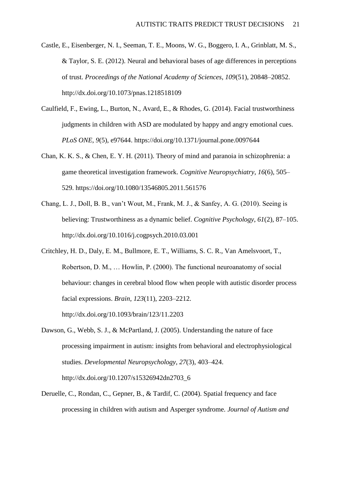- Castle, E., Eisenberger, N. I., Seeman, T. E., Moons, W. G., Boggero, I. A., Grinblatt, M. S., & Taylor, S. E. (2012). Neural and behavioral bases of age differences in perceptions of trust. *Proceedings of the National Academy of Sciences*, *109*(51), 20848–20852. http://dx.doi.org/10.1073/pnas.1218518109
- Caulfield, F., Ewing, L., Burton, N., Avard, E., & Rhodes, G. (2014). Facial trustworthiness judgments in children with ASD are modulated by happy and angry emotional cues. *PLoS ONE*, *9*(5), e97644. https://doi.org/10.1371/journal.pone.0097644
- Chan, K. K. S., & Chen, E. Y. H. (2011). Theory of mind and paranoia in schizophrenia: a game theoretical investigation framework. *Cognitive Neuropsychiatry*, *16*(6), 505– 529. https://doi.org/10.1080/13546805.2011.561576
- Chang, L. J., Doll, B. B., van't Wout, M., Frank, M. J., & Sanfey, A. G. (2010). Seeing is believing: Trustworthiness as a dynamic belief. *Cognitive Psychology*, *61*(2), 87–105. http://dx.doi.org/10.1016/j.cogpsych.2010.03.001
- Critchley, H. D., Daly, E. M., Bullmore, E. T., Williams, S. C. R., Van Amelsvoort, T., Robertson, D. M., … Howlin, P. (2000). The functional neuroanatomy of social behaviour: changes in cerebral blood flow when people with autistic disorder process facial expressions. *Brain*, *123*(11), 2203–2212. http://dx.doi.org/10.1093/brain/123/11.2203
- Dawson, G., Webb, S. J., & McPartland, J. (2005). Understanding the nature of face processing impairment in autism: insights from behavioral and electrophysiological studies. *Developmental Neuropsychology*, *27*(3), 403–424.

http://dx.doi.org/10.1207/s15326942dn2703\_6

Deruelle, C., Rondan, C., Gepner, B., & Tardif, C. (2004). Spatial frequency and face processing in children with autism and Asperger syndrome. *Journal of Autism and*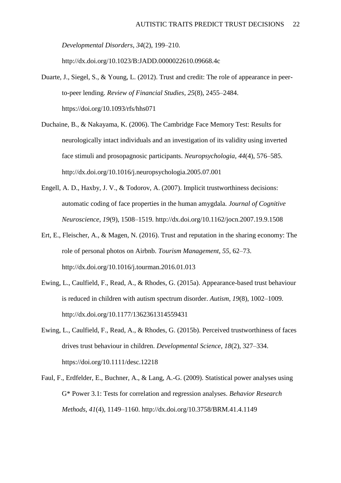*Developmental Disorders*, *34*(2), 199–210.

http://dx.doi.org/10.1023/B:JADD.0000022610.09668.4c

- Duarte, J., Siegel, S., & Young, L. (2012). Trust and credit: The role of appearance in peerto-peer lending. *Review of Financial Studies*, *25*(8), 2455–2484. https://doi.org/10.1093/rfs/hhs071
- Duchaine, B., & Nakayama, K. (2006). The Cambridge Face Memory Test: Results for neurologically intact individuals and an investigation of its validity using inverted face stimuli and prosopagnosic participants. *Neuropsychologia*, *44*(4), 576–585. http://dx.doi.org/10.1016/j.neuropsychologia.2005.07.001
- Engell, A. D., Haxby, J. V., & Todorov, A. (2007). Implicit trustworthiness decisions: automatic coding of face properties in the human amygdala. *Journal of Cognitive Neuroscience*, *19*(9), 1508–1519. http://dx.doi.org/10.1162/jocn.2007.19.9.1508
- Ert, E., Fleischer, A., & Magen, N. (2016). Trust and reputation in the sharing economy: The role of personal photos on Airbnb. *Tourism Management*, *55*, 62–73. http://dx.doi.org/10.1016/j.tourman.2016.01.013
- Ewing, L., Caulfield, F., Read, A., & Rhodes, G. (2015a). Appearance-based trust behaviour is reduced in children with autism spectrum disorder. *Autism*, *19*(8), 1002–1009. http://dx.doi.org/10.1177/1362361314559431
- Ewing, L., Caulfield, F., Read, A., & Rhodes, G. (2015b). Perceived trustworthiness of faces drives trust behaviour in children. *Developmental Science*, *18*(2), 327–334. https://doi.org/10.1111/desc.12218
- Faul, F., Erdfelder, E., Buchner, A., & Lang, A.-G. (2009). Statistical power analyses using G\* Power 3.1: Tests for correlation and regression analyses. *Behavior Research Methods*, *41*(4), 1149–1160. http://dx.doi.org/10.3758/BRM.41.4.1149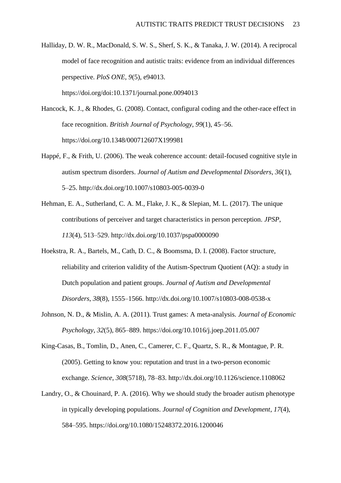Halliday, D. W. R., MacDonald, S. W. S., Sherf, S. K., & Tanaka, J. W. (2014). A reciprocal model of face recognition and autistic traits: evidence from an individual differences perspective. *PloS ONE*, *9*(5), e94013. https://doi.org/doi:10.1371/journal.pone.0094013

Hancock, K. J., & Rhodes, G. (2008). Contact, configural coding and the other-race effect in face recognition. *British Journal of Psychology*, *99*(1), 45–56. https://doi.org/10.1348/000712607X199981

- Happé, F., & Frith, U. (2006). The weak coherence account: detail-focused cognitive style in autism spectrum disorders. *Journal of Autism and Developmental Disorders*, *36*(1), 5–25. http://dx.doi.org/10.1007/s10803-005-0039-0
- Hehman, E. A., Sutherland, C. A. M., Flake, J. K., & Slepian, M. L. (2017). The unique contributions of perceiver and target characteristics in person perception. *JPSP*, *113*(4), 513–529. http://dx.doi.org/10.1037/pspa0000090
- Hoekstra, R. A., Bartels, M., Cath, D. C., & Boomsma, D. I. (2008). Factor structure, reliability and criterion validity of the Autism-Spectrum Quotient (AQ): a study in Dutch population and patient groups. *Journal of Autism and Developmental Disorders*, *38*(8), 1555–1566. http://dx.doi.org/10.1007/s10803-008-0538-x
- Johnson, N. D., & Mislin, A. A. (2011). Trust games: A meta-analysis. *Journal of Economic Psychology*, *32*(5), 865–889. https://doi.org/10.1016/j.joep.2011.05.007
- King-Casas, B., Tomlin, D., Anen, C., Camerer, C. F., Quartz, S. R., & Montague, P. R. (2005). Getting to know you: reputation and trust in a two-person economic exchange. *Science*, *308*(5718), 78–83. http://dx.doi.org/10.1126/science.1108062
- Landry, O., & Chouinard, P. A. (2016). Why we should study the broader autism phenotype in typically developing populations. *Journal of Cognition and Development*, *17*(4), 584–595. https://doi.org/10.1080/15248372.2016.1200046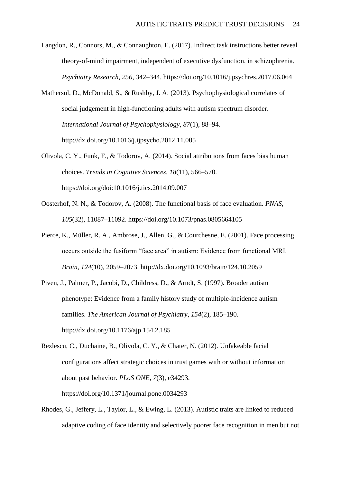- Langdon, R., Connors, M., & Connaughton, E. (2017). Indirect task instructions better reveal theory-of-mind impairment, independent of executive dysfunction, in schizophrenia. *Psychiatry Research*, *256*, 342–344. https://doi.org/10.1016/j.psychres.2017.06.064
- Mathersul, D., McDonald, S., & Rushby, J. A. (2013). Psychophysiological correlates of social judgement in high-functioning adults with autism spectrum disorder. *International Journal of Psychophysiology*, *87*(1), 88–94. http://dx.doi.org/10.1016/j.ijpsycho.2012.11.005
- Olivola, C. Y., Funk, F., & Todorov, A. (2014). Social attributions from faces bias human choices. *Trends in Cognitive Sciences*, *18*(11), 566–570. https://doi.org/doi:10.1016/j.tics.2014.09.007
- Oosterhof, N. N., & Todorov, A. (2008). The functional basis of face evaluation. *PNAS*, *105*(32), 11087–11092. https://doi.org/10.1073/pnas.0805664105
- Pierce, K., Müller, R. A., Ambrose, J., Allen, G., & Courchesne, E. (2001). Face processing occurs outside the fusiform "face area" in autism: Evidence from functional MRI. *Brain*, *124*(10), 2059–2073. http://dx.doi.org/10.1093/brain/124.10.2059
- Piven, J., Palmer, P., Jacobi, D., Childress, D., & Arndt, S. (1997). Broader autism phenotype: Evidence from a family history study of multiple-incidence autism families. *The American Journal of Psychiatry*, *154*(2), 185–190. http://dx.doi.org/10.1176/ajp.154.2.185
- Rezlescu, C., Duchaine, B., Olivola, C. Y., & Chater, N. (2012). Unfakeable facial configurations affect strategic choices in trust games with or without information about past behavior. *PLoS ONE*, *7*(3), e34293. https://doi.org/10.1371/journal.pone.0034293
- Rhodes, G., Jeffery, L., Taylor, L., & Ewing, L. (2013). Autistic traits are linked to reduced adaptive coding of face identity and selectively poorer face recognition in men but not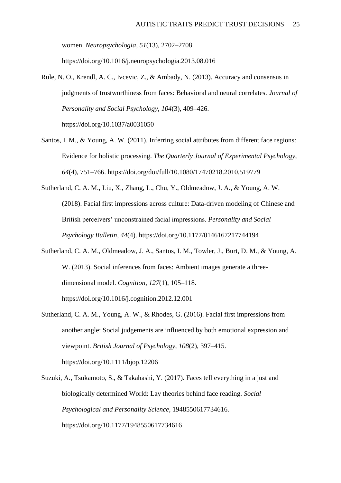women. *Neuropsychologia*, *51*(13), 2702–2708.

https://doi.org/10.1016/j.neuropsychologia.2013.08.016

Rule, N. O., Krendl, A. C., Ivcevic, Z., & Ambady, N. (2013). Accuracy and consensus in judgments of trustworthiness from faces: Behavioral and neural correlates. *Journal of Personality and Social Psychology*, *104*(3), 409–426.

https://doi.org/10.1037/a0031050

- Santos, I. M., & Young, A. W. (2011). Inferring social attributes from different face regions: Evidence for holistic processing. *The Quarterly Journal of Experimental Psychology*, *64*(4), 751–766. https://doi.org/doi/full/10.1080/17470218.2010.519779
- Sutherland, C. A. M., Liu, X., Zhang, L., Chu, Y., Oldmeadow, J. A., & Young, A. W. (2018). Facial first impressions across culture: Data-driven modeling of Chinese and British perceivers' unconstrained facial impressions. *Personality and Social Psychology Bulletin*, *44*(4). https://doi.org/10.1177/0146167217744194
- Sutherland, C. A. M., Oldmeadow, J. A., Santos, I. M., Towler, J., Burt, D. M., & Young, A. W. (2013). Social inferences from faces: Ambient images generate a threedimensional model. *Cognition*, *127*(1), 105–118. https://doi.org/10.1016/j.cognition.2012.12.001
- Sutherland, C. A. M., Young, A. W., & Rhodes, G. (2016). Facial first impressions from another angle: Social judgements are influenced by both emotional expression and viewpoint. *British Journal of Psychology*, *108*(2), 397–415. https://doi.org/10.1111/bjop.12206
- Suzuki, A., Tsukamoto, S., & Takahashi, Y. (2017). Faces tell everything in a just and biologically determined World: Lay theories behind face reading. *Social Psychological and Personality Science*, 1948550617734616. https://doi.org/10.1177/1948550617734616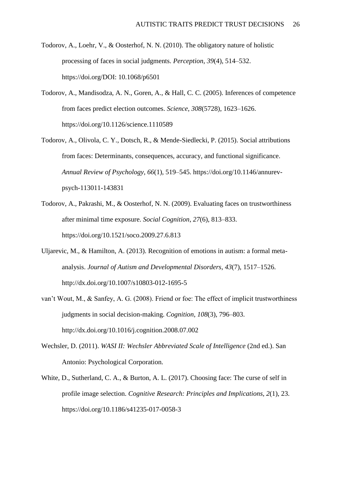- Todorov, A., Loehr, V., & Oosterhof, N. N. (2010). The obligatory nature of holistic processing of faces in social judgments. *Perception*, *39*(4), 514–532. https://doi.org/DOI: 10.1068/p6501
- Todorov, A., Mandisodza, A. N., Goren, A., & Hall, C. C. (2005). Inferences of competence from faces predict election outcomes. *Science*, *308*(5728), 1623–1626. https://doi.org/10.1126/science.1110589
- Todorov, A., Olivola, C. Y., Dotsch, R., & Mende-Siedlecki, P. (2015). Social attributions from faces: Determinants, consequences, accuracy, and functional significance. *Annual Review of Psychology*, *66*(1), 519–545. https://doi.org/10.1146/annurevpsych-113011-143831
- Todorov, A., Pakrashi, M., & Oosterhof, N. N. (2009). Evaluating faces on trustworthiness after minimal time exposure. *Social Cognition*, *27*(6), 813–833. https://doi.org/10.1521/soco.2009.27.6.813
- Uljarevic, M., & Hamilton, A. (2013). Recognition of emotions in autism: a formal metaanalysis. *Journal of Autism and Developmental Disorders*, *43*(7), 1517–1526. http://dx.doi.org/10.1007/s10803-012-1695-5
- van't Wout, M., & Sanfey, A. G. (2008). Friend or foe: The effect of implicit trustworthiness judgments in social decision-making. *Cognition*, *108*(3), 796–803. http://dx.doi.org/10.1016/j.cognition.2008.07.002
- Wechsler, D. (2011). *WASI II: Wechsler Abbreviated Scale of Intelligence* (2nd ed.). San Antonio: Psychological Corporation.
- White, D., Sutherland, C. A., & Burton, A. L. (2017). Choosing face: The curse of self in profile image selection. *Cognitive Research: Principles and Implications*, *2*(1), 23. https://doi.org/10.1186/s41235-017-0058-3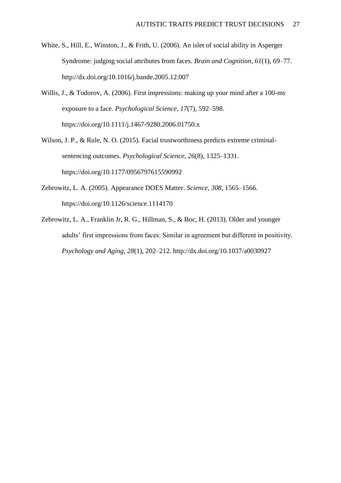- White, S., Hill, E., Winston, J., & Frith, U. (2006). An islet of social ability in Asperger Syndrome: judging social attributes from faces. *Brain and Cognition*, *61*(1), 69–77. http://dx.doi.org/10.1016/j.bande.2005.12.007
- Willis, J., & Todorov, A. (2006). First impressions: making up your mind after a 100-ms exposure to a face. *Psychological Science*, *17*(7), 592–598. https://doi.org/10.1111/j.1467-9280.2006.01750.x
- Wilson, J. P., & Rule, N. O. (2015). Facial trustworthiness predicts extreme criminalsentencing outcomes. *Psychological Science*, *26*(8), 1325–1331. https://doi.org/10.1177/0956797615590992
- Zebrowitz, L. A. (2005). Appearance DOES Matter. *Science*, *308*, 1565–1566. https://doi.org/10.1126/science.1114170
- Zebrowitz, L. A., Franklin Jr, R. G., Hillman, S., & Boc, H. (2013). Older and younger adults' first impressions from faces: Similar in agreement but different in positivity. *Psychology and Aging*, *28*(1), 202–212. http://dx.doi.org/10.1037/a0030927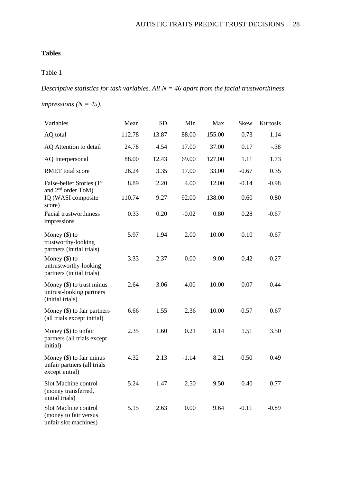# **Tables**

# Table 1

*Descriptive statistics for task variables. All N = 46 apart from the facial trustworthiness* 

*impressions (N = 45).*

| Variables                                                                    | Mean   | <b>SD</b> | Min     | Max    | <b>Skew</b> | Kurtosis |
|------------------------------------------------------------------------------|--------|-----------|---------|--------|-------------|----------|
| AQ total                                                                     | 112.78 | 13.87     | 88.00   | 155.00 | 0.73        | 1.14     |
| AQ Attention to detail                                                       | 24.78  | 4.54      | 17.00   | 37.00  | 0.17        | $-.38$   |
| AQ Interpersonal                                                             | 88.00  | 12.43     | 69.00   | 127.00 | 1.11        | 1.73     |
| <b>RMET</b> total score                                                      | 26.24  | 3.35      | 17.00   | 33.00  | $-0.67$     | 0.35     |
| False-belief Stories (1st                                                    | 8.89   | 2.20      | 4.00    | 12.00  | $-0.14$     | $-0.98$  |
| and 2 <sup>nd</sup> order ToM)<br>IQ (WASI composite<br>score)               | 110.74 | 9.27      | 92.00   | 138.00 | 0.60        | 0.80     |
| <b>Facial trustworthiness</b><br>impressions                                 | 0.33   | 0.20      | $-0.02$ | 0.80   | 0.28        | $-0.67$  |
| Money $(\$)$ to<br>trustworthy-looking<br>partners (initial trials)          | 5.97   | 1.94      | 2.00    | 10.00  | 0.10        | $-0.67$  |
| Money $(\$)$ to<br>untrustworthy-looking<br>partners (initial trials)        | 3.33   | 2.37      | 0.00    | 9.00   | 0.42        | $-0.27$  |
| Money $(\$)$ to trust minus<br>untrust-looking partners<br>(initial trials)  | 2.64   | 3.06      | $-4.00$ | 10.00  | 0.07        | $-0.44$  |
| Money $(\$)$ to fair partners<br>(all trials except initial)                 | 6.66   | 1.55      | 2.36    | 10.00  | $-0.57$     | 0.67     |
| Money $(\$)$ to unfair<br>partners (all trials except<br>initial)            | 2.35   | 1.60      | 0.21    | 8.14   | 1.51        | 3.50     |
| Money $(\$)$ to fair minus<br>unfair partners (all trials<br>except initial) | 4.32   | 2.13      | $-1.14$ | 8.21   | $-0.50$     | 0.49     |
| Slot Machine control<br>(money transferred,<br>initial trials)               | 5.24   | 1.47      | 2.50    | 9.50   | 0.40        | 0.77     |
| Slot Machine control<br>(money to fair versus<br>unfair slot machines)       | 5.15   | 2.63      | 0.00    | 9.64   | $-0.11$     | $-0.89$  |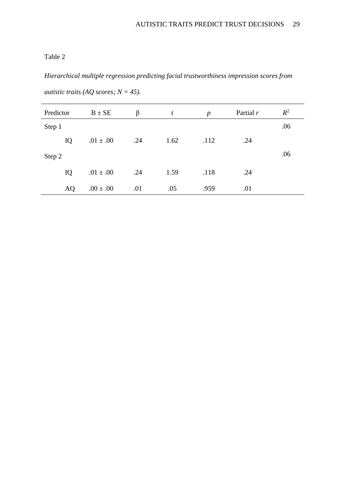# Table 2

*Hierarchical multiple regression predicting facial trustworthiness impression scores from autistic traits (AQ scores; N = 45).*

| Predictor | $B \pm SE$    | β   | t    | $\boldsymbol{p}$ | Partial $r$ | $R^2$ |
|-----------|---------------|-----|------|------------------|-------------|-------|
| Step 1    |               |     |      |                  |             | .06   |
| IQ        | $.01 \pm .00$ | .24 | 1.62 | .112             | .24         |       |
| Step 2    |               |     |      |                  |             | .06   |
| IQ        | $.01 \pm .00$ | .24 | 1.59 | .118             | .24         |       |
| AQ        | $.00 \pm .00$ | .01 | .05  | .959             | .01         |       |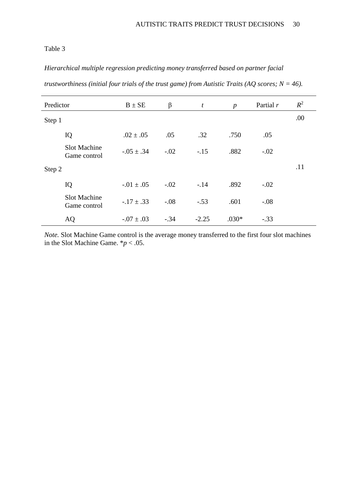# Table 3

# *Hierarchical multiple regression predicting money transferred based on partner facial*

|  |  |  |  |  | trustworthiness (initial four trials of the trust game) from Autistic Traits (AQ scores; N = 46). |  |
|--|--|--|--|--|---------------------------------------------------------------------------------------------------|--|
|--|--|--|--|--|---------------------------------------------------------------------------------------------------|--|

| Predictor |                                     | $B \pm SE$       | $\beta$ | $\boldsymbol{t}$ | $\boldsymbol{p}$ | Partial $r$ | $R^2$ |
|-----------|-------------------------------------|------------------|---------|------------------|------------------|-------------|-------|
| Step 1    |                                     |                  |         |                  |                  |             | .00   |
|           | IQ                                  | $.02 \pm .05$    | .05     | .32              | .750             | .05         |       |
|           | <b>Slot Machine</b><br>Game control | $-.05 \pm .34$   | $-.02$  | $-.15$           | .882             | $-.02$      |       |
| Step 2    |                                     |                  |         |                  |                  |             | .11   |
|           | IQ                                  | $-0.01 \pm 0.05$ | $-.02$  | $-.14$           | .892             | $-.02$      |       |
|           | <b>Slot Machine</b><br>Game control | $-.17 \pm .33$   | $-.08$  | $-.53$           | .601             | $-.08$      |       |
|           | AQ                                  | $-0.07 \pm 0.03$ | $-.34$  | $-2.25$          | $.030*$          | $-.33$      |       |

*Note.* Slot Machine Game control is the average money transferred to the first four slot machines in the Slot Machine Game.  $*p < .05$ .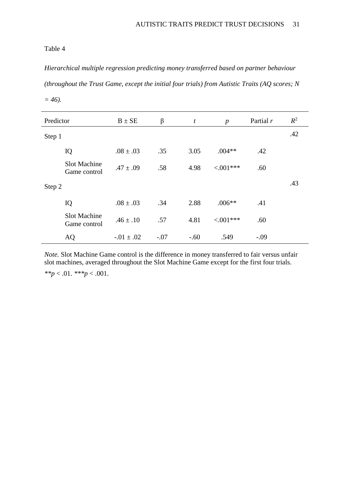# Table 4

*Hierarchical multiple regression predicting money transferred based on partner behaviour (throughout the Trust Game, except the initial four trials) from Autistic Traits (AQ scores; N = 46).*

| Predictor |                                     | $B \pm SE$       | $\beta$ | $\boldsymbol{t}$ | $\boldsymbol{p}$ | Partial $r$ | $R^2$ |
|-----------|-------------------------------------|------------------|---------|------------------|------------------|-------------|-------|
| Step 1    |                                     |                  |         |                  |                  |             | .42   |
|           | IQ                                  | $.08 \pm .03$    | .35     | 3.05             | $.004**$         | .42         |       |
|           | <b>Slot Machine</b><br>Game control | $.47 \pm .09$    | .58     | 4.98             | $< 0.01***$      | .60         |       |
| Step 2    |                                     |                  |         |                  |                  |             | .43   |
|           | IQ                                  | $.08 \pm .03$    | .34     | 2.88             | $.006**$         | .41         |       |
|           | <b>Slot Machine</b><br>Game control | $.46 \pm .10$    | .57     | 4.81             | $< 0.01***$      | .60         |       |
|           | AQ                                  | $-0.01 \pm 0.02$ | $-.07$  | $-.60$           | .549             | $-.09$      |       |

*Note.* Slot Machine Game control is the difference in money transferred to fair versus unfair slot machines, averaged throughout the Slot Machine Game except for the first four trials.

*\*\*p* < .01. *\*\*\*p* < .001.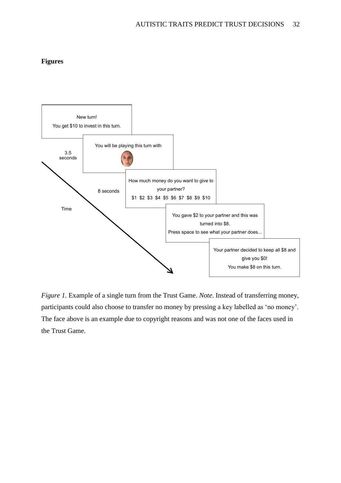# **Figures**



*Figure 1.* Example of a single turn from the Trust Game. *Note*. Instead of transferring money, participants could also choose to transfer no money by pressing a key labelled as 'no money'. The face above is an example due to copyright reasons and was not one of the faces used in the Trust Game.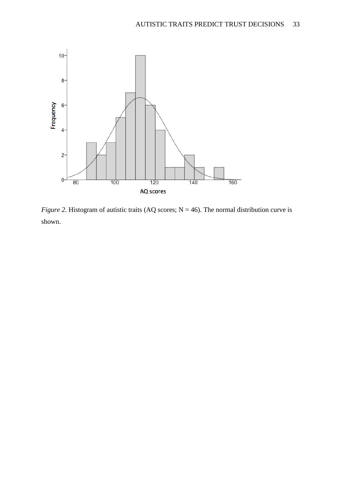

*Figure 2.* Histogram of autistic traits (AQ scores;  $N = 46$ ). The normal distribution curve is shown.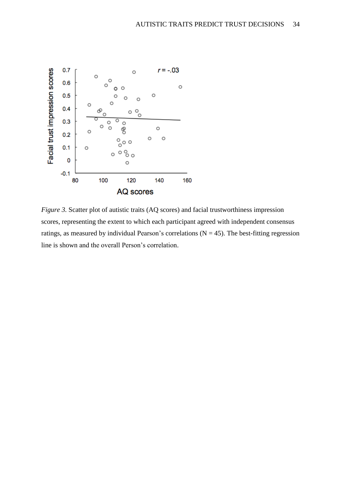

*Figure 3.* Scatter plot of autistic traits (AQ scores) and facial trustworthiness impression scores, representing the extent to which each participant agreed with independent consensus ratings, as measured by individual Pearson's correlations  $(N = 45)$ . The best-fitting regression line is shown and the overall Person's correlation.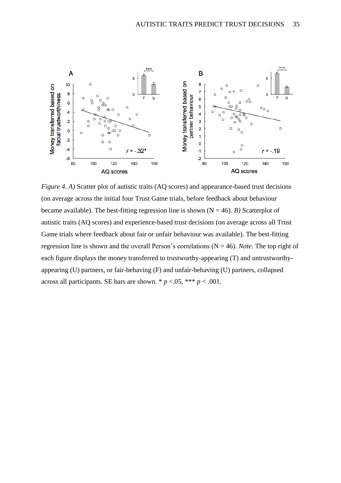

*Figure 4. A)* Scatter plot of autistic traits (AQ scores) and appearance-based trust decisions (on average across the initial four Trust Game trials, before feedback about behaviour became available). The best-fitting regression line is shown  $(N = 46)$ . *B*) Scatterplot of autistic traits (AQ scores) and experience-based trust decisions (on average across all Trust Game trials where feedback about fair or unfair behaviour was available). The best-fitting regression line is shown and the overall Person's correlations (N = 46). *Note.* The top right of each figure displays the money transferred to trustworthy-appearing (T) and untrustworthyappearing (U) partners, or fair-behaving (F) and unfair-behaving (U) partners, collapsed across all participants. SE bars are shown. \*  $p < .05$ , \*\*\*  $p < .001$ .